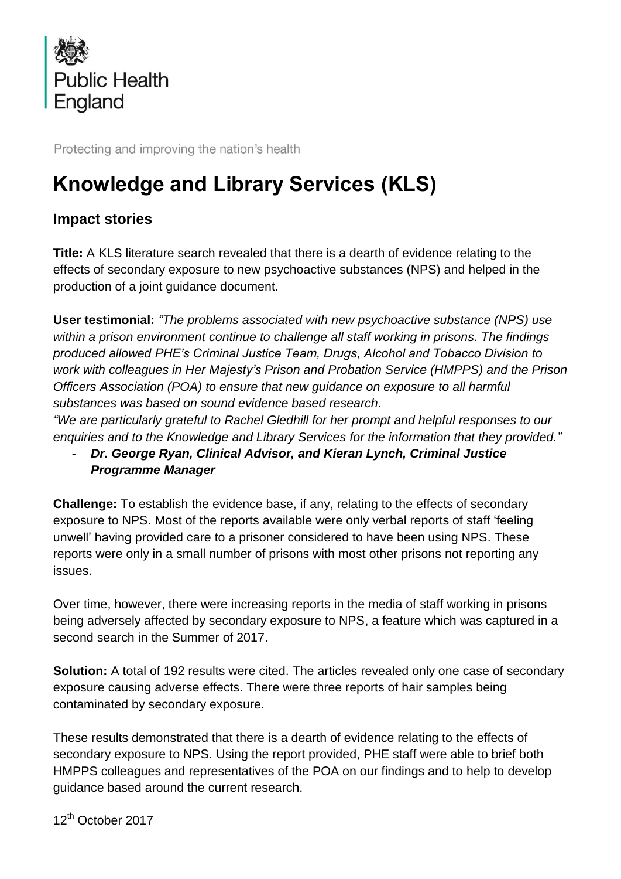

Protecting and improving the nation's health

# **Knowledge and Library Services (KLS)**

## **Impact stories**

**Title:** A KLS literature search revealed that there is a dearth of evidence relating to the effects of secondary exposure to new psychoactive substances (NPS) and helped in the production of a joint guidance document.

**User testimonial:** *"The problems associated with new psychoactive substance (NPS) use within a prison environment continue to challenge all staff working in prisons. The findings produced allowed PHE's Criminal Justice Team, Drugs, Alcohol and Tobacco Division to work with colleagues in Her Majesty's Prison and Probation Service (HMPPS) and the Prison Officers Association (POA) to ensure that new guidance on exposure to all harmful substances was based on sound evidence based research.* 

*"We are particularly grateful to Rachel Gledhill for her prompt and helpful responses to our enquiries and to the Knowledge and Library Services for the information that they provided."*

### - *Dr. George Ryan, Clinical Advisor, and Kieran Lynch, Criminal Justice Programme Manager*

**Challenge:** To establish the evidence base, if any, relating to the effects of secondary exposure to NPS. Most of the reports available were only verbal reports of staff 'feeling unwell' having provided care to a prisoner considered to have been using NPS. These reports were only in a small number of prisons with most other prisons not reporting any issues.

Over time, however, there were increasing reports in the media of staff working in prisons being adversely affected by secondary exposure to NPS, a feature which was captured in a second search in the Summer of 2017.

**Solution:** A total of 192 results were cited. The articles revealed only one case of secondary exposure causing adverse effects. There were three reports of hair samples being contaminated by secondary exposure.

These results demonstrated that there is a dearth of evidence relating to the effects of secondary exposure to NPS. Using the report provided, PHE staff were able to brief both HMPPS colleagues and representatives of the POA on our findings and to help to develop guidance based around the current research.